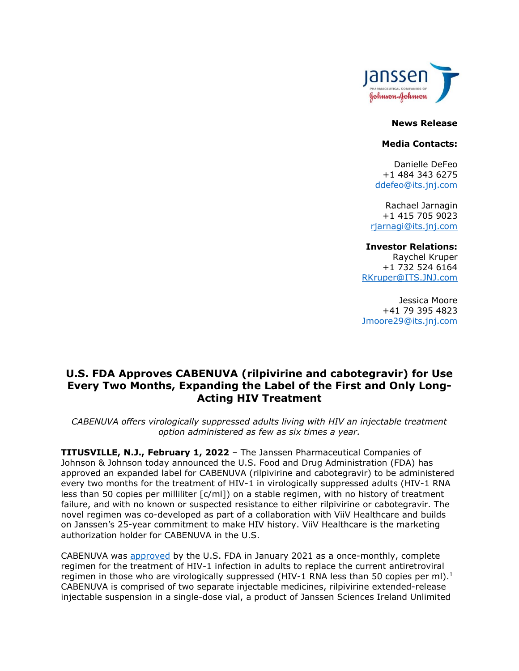

#### **News Release**

#### **Media Contacts:**

Danielle DeFeo +1 484 343 6275 [ddefeo@its.jnj.com](mailto:ddfeo@its.jnj.com)

Rachael Jarnagin +1 415 705 9023 [rjarnagi@its.jnj.com](mailto:rjarnagi@its.jnj.com)

### **Investor Relations:**

Raychel Kruper +1 732 524 6164 [RKruper@ITS.JNJ.com](mailto:RKruper@ITS.JNJ.com)

Jessica Moore +41 79 395 4823 [Jmoore29@its.jnj.com](mailto:Jmoore29@its.jnj.com)

# **U.S. FDA Approves CABENUVA (rilpivirine and cabotegravir) for Use Every Two Months, Expanding the Label of the First and Only Long-Acting HIV Treatment**

*CABENUVA offers virologically suppressed adults living with HIV an injectable treatment option administered as few as six times a year.*

**TITUSVILLE, N.J., February 1, 2022** *–* The Janssen Pharmaceutical Companies of Johnson & Johnson today announced the U.S. Food and Drug Administration (FDA) has approved an expanded label for CABENUVA (rilpivirine and cabotegravir) to be administered every two months for the treatment of HIV-1 in virologically suppressed adults (HIV-1 RNA less than 50 copies per milliliter  $[c/ml]$  on a stable regimen, with no history of treatment failure, and with no known or suspected resistance to either rilpivirine or cabotegravir. The novel regimen was co-developed as part of a collaboration with ViiV Healthcare and builds on Janssen's 25-year commitment to make HIV history. ViiV Healthcare is the marketing authorization holder for CABENUVA in the U.S.

CABENUVA was [approved](https://www.jnj.com/janssen-announces-u-s-fda-approval-of-cabenuva-rilpivirine-and-cabotegravir-the-first-long-acting-regimen-for-the-treatment-of-hiv) by the U.S. FDA in January 2021 as a once-monthly, complete regimen for the treatment of HIV-1 infection in adults to replace the current antiretroviral regimen in those who are virologically suppressed (HIV-1 RNA less than 50 copies per ml).<sup>1</sup> CABENUVA is comprised of two separate injectable medicines, rilpivirine extended-release injectable suspension in a single-dose vial, a product of Janssen Sciences Ireland Unlimited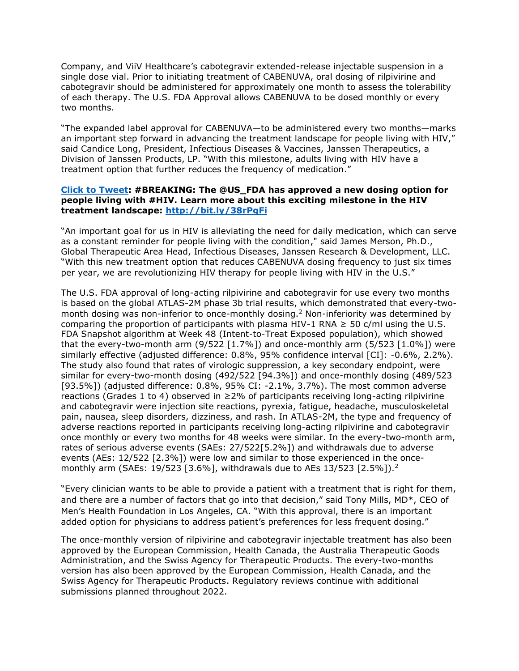Company, and ViiV Healthcare's cabotegravir extended-release injectable suspension in a single dose vial. Prior to initiating treatment of CABENUVA, oral dosing of rilpivirine and cabotegravir should be administered for approximately one month to assess the tolerability of each therapy. The U.S. FDA Approval allows CABENUVA to be dosed monthly or every two months.

"The expanded label approval for CABENUVA—to be administered every two months—marks an important step forward in advancing the treatment landscape for people living with HIV," said Candice Long, President, Infectious Diseases & Vaccines, Janssen Therapeutics, a Division of Janssen Products, LP. "With this milestone, adults living with HIV have a treatment option that further reduces the frequency of medication."

### **[Click to Tweet:](https://ctt.ac/Lz21u) #BREAKING: The @US\_FDA has approved a new dosing option for people living with #HIV. Learn more about this exciting milestone in the HIV treatment landscape: <http://bit.ly/38rPgFi>**

"An important goal for us in HIV is alleviating the need for daily medication, which can serve as a constant reminder for people living with the condition," said James Merson, Ph.D., Global Therapeutic Area Head, Infectious Diseases, Janssen Research & Development, LLC. "With this new treatment option that reduces CABENUVA dosing frequency to just six times per year, we are revolutionizing HIV therapy for people living with HIV in the U.S."

The U.S. FDA approval of long-acting rilpivirine and cabotegravir for use every two months is based on the global ATLAS-2M phase 3b trial results, which demonstrated that every-twomonth dosing was non-inferior to once-monthly dosing.<sup>2</sup> Non-inferiority was determined by comparing the proportion of participants with plasma HIV-1 RNA  $\geq$  50 c/ml using the U.S. FDA Snapshot algorithm at Week 48 (Intent-to-Treat Exposed population), which showed that the every-two-month arm  $(9/522 [1.7%)$  and once-monthly arm  $(5/523 [1.0%)$  were similarly effective (adjusted difference: 0.8%, 95% confidence interval [CI]: -0.6%, 2.2%). The study also found that rates of virologic suppression, a key secondary endpoint, were similar for every-two-month dosing (492/522 [94.3%]) and once-monthly dosing (489/523 [93.5%]) (adjusted difference: 0.8%, 95% CI: -2.1%, 3.7%). The most common adverse reactions (Grades 1 to 4) observed in  $\geq$ 2% of participants receiving long-acting rilpivirine and cabotegravir were injection site reactions, pyrexia, fatigue, headache, musculoskeletal pain, nausea, sleep disorders, dizziness, and rash. In ATLAS-2M, the type and frequency of adverse reactions reported in participants receiving long-acting rilpivirine and cabotegravir once monthly or every two months for 48 weeks were similar. In the every-two-month arm, rates of serious adverse events (SAEs: 27/522[5.2%]) and withdrawals due to adverse events (AEs: 12/522 [2.3%]) were low and similar to those experienced in the oncemonthly arm (SAEs: 19/523 [3.6%], withdrawals due to AEs 13/523 [2.5%]).<sup>2</sup>

"Every clinician wants to be able to provide a patient with a treatment that is right for them, and there are a number of factors that go into that decision," said Tony Mills, MD\*, CEO of Men's Health Foundation in Los Angeles, CA. "With this approval, there is an important added option for physicians to address patient's preferences for less frequent dosing."

The once-monthly version of rilpivirine and cabotegravir injectable treatment has also been approved by the European Commission, Health Canada, the Australia Therapeutic Goods Administration, and the Swiss Agency for Therapeutic Products. The every-two-months version has also been approved by the European Commission, Health Canada, and the Swiss Agency for Therapeutic Products. Regulatory reviews continue with additional submissions planned throughout 2022.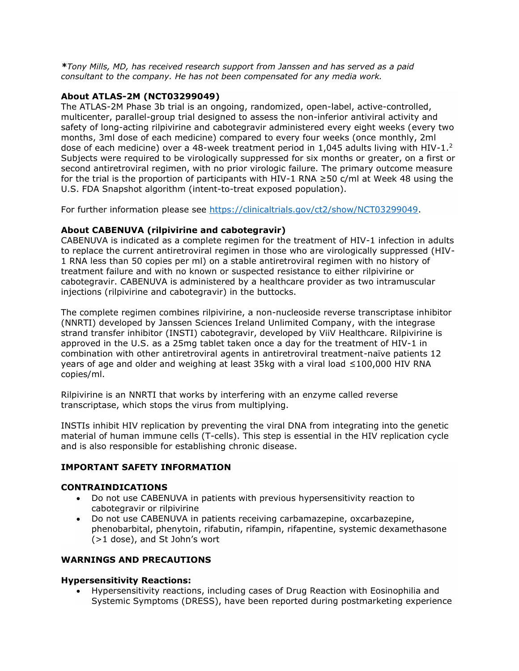*\*Tony Mills, MD, has received research support from Janssen and has served as a paid consultant to the company. He has not been compensated for any media work.*

### **About ATLAS-2M (NCT03299049)**

The ATLAS-2M Phase 3b trial is an ongoing, randomized, open-label, active-controlled, multicenter, parallel-group trial designed to assess the non-inferior antiviral activity and safety of long-acting rilpivirine and cabotegravir administered every eight weeks (every two months, 3ml dose of each medicine) compared to every four weeks (once monthly, 2ml dose of each medicine) over a 48-week treatment period in 1,045 adults living with HIV-1.<sup>2</sup> Subjects were required to be virologically suppressed for six months or greater, on a first or second antiretroviral regimen, with no prior virologic failure. The primary outcome measure for the trial is the proportion of participants with HIV-1 RNA  $\geq$ 50 c/ml at Week 48 using the U.S. FDA Snapshot algorithm (intent-to-treat exposed population).

For further information please see [https://clinicaltrials.gov/ct2/show/NCT03299049.](https://clinicaltrials.gov/ct2/show/NCT03299049)

## **About CABENUVA (rilpivirine and cabotegravir)**

CABENUVA is indicated as a complete regimen for the treatment of HIV-1 infection in adults to replace the current antiretroviral regimen in those who are virologically suppressed (HIV-1 RNA less than 50 copies per ml) on a stable antiretroviral regimen with no history of treatment failure and with no known or suspected resistance to either rilpivirine or cabotegravir. CABENUVA is administered by a healthcare provider as two intramuscular injections (rilpivirine and cabotegravir) in the buttocks.

The complete regimen combines rilpivirine, a non-nucleoside reverse transcriptase inhibitor (NNRTI) developed by Janssen Sciences Ireland Unlimited Company, with the integrase strand transfer inhibitor (INSTI) cabotegravir, developed by ViiV Healthcare. Rilpivirine is approved in the U.S. as a 25mg tablet taken once a day for the treatment of HIV-1 in combination with other antiretroviral agents in antiretroviral treatment-naïve patients 12 years of age and older and weighing at least 35kg with a viral load ≤100,000 HIV RNA copies/ml.

Rilpivirine is an NNRTI that works by interfering with an enzyme called reverse transcriptase, which stops the virus from multiplying.

INSTIs inhibit HIV replication by preventing the viral DNA from integrating into the genetic material of human immune cells (T-cells). This step is essential in the HIV replication cycle and is also responsible for establishing chronic disease.

### **IMPORTANT SAFETY INFORMATION**

### **CONTRAINDICATIONS**

- Do not use CABENUVA in patients with previous hypersensitivity reaction to cabotegravir or rilpivirine
- Do not use CABENUVA in patients receiving carbamazepine, oxcarbazepine, phenobarbital, phenytoin, rifabutin, rifampin, rifapentine, systemic dexamethasone (>1 dose), and St John's wort

### **WARNINGS AND PRECAUTIONS**

### **Hypersensitivity Reactions:**

• Hypersensitivity reactions, including cases of Drug Reaction with Eosinophilia and Systemic Symptoms (DRESS), have been reported during postmarketing experience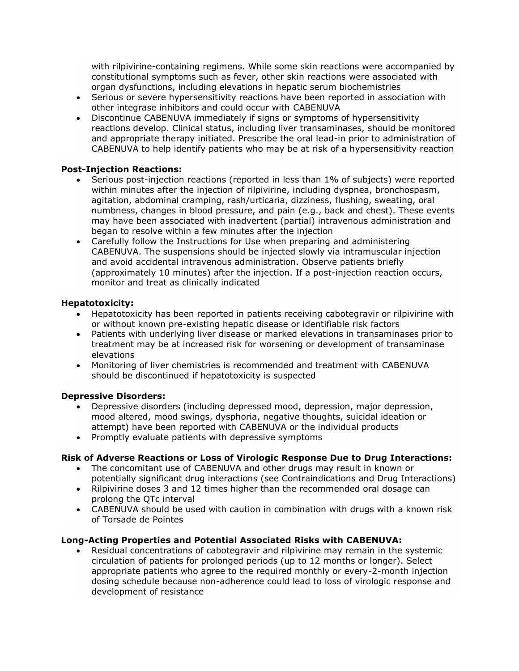with rilpivirine-containing regimens. While some skin reactions were accompanied by constitutional symptoms such as fever, other skin reactions were associated with organ dysfunctions, including elevations in hepatic serum biochemistries

- Serious or severe hypersensitivity reactions have been reported in association with other integrase inhibitors and could occur with CABENUVA
- Discontinue CABENUVA immediately if signs or symptoms of hypersensitivity reactions develop. Clinical status, including liver transaminases, should be monitored and appropriate therapy initiated. Prescribe the oral lead-in prior to administration of CABENUVA to help identify patients who may be at risk of a hypersensitivity reaction

## **Post-Injection Reactions:**

- Serious post-injection reactions (reported in less than 1% of subjects) were reported within minutes after the injection of rilpivirine, including dyspnea, bronchospasm, agitation, abdominal cramping, rash/urticaria, dizziness, flushing, sweating, oral numbness, changes in blood pressure, and pain (e.g., back and chest). These events may have been associated with inadvertent (partial) intravenous administration and began to resolve within a few minutes after the injection
- Carefully follow the Instructions for Use when preparing and administering CABENUVA. The suspensions should be injected slowly via intramuscular injection and avoid accidental intravenous administration. Observe patients briefly (approximately 10 minutes) after the injection. If a post-injection reaction occurs, monitor and treat as clinically indicated

## **Hepatotoxicity:**

- Hepatotoxicity has been reported in patients receiving cabotegravir or rilpivirine with or without known pre-existing hepatic disease or identifiable risk factors
- Patients with underlying liver disease or marked elevations in transaminases prior to treatment may be at increased risk for worsening or development of transaminase elevations
- Monitoring of liver chemistries is recommended and treatment with CABENUVA should be discontinued if hepatotoxicity is suspected

### **Depressive Disorders:**

- Depressive disorders (including depressed mood, depression, major depression, mood altered, mood swings, dysphoria, negative thoughts, suicidal ideation or attempt) have been reported with CABENUVA or the individual products
- Promptly evaluate patients with depressive symptoms

# **Risk of Adverse Reactions or Loss of Virologic Response Due to Drug Interactions:**

- The concomitant use of CABENUVA and other drugs may result in known or potentially significant drug interactions (see Contraindications and Drug Interactions)
- Rilpivirine doses 3 and 12 times higher than the recommended oral dosage can prolong the QTc interval
- CABENUVA should be used with caution in combination with drugs with a known risk of Torsade de Pointes

### **Long-Acting Properties and Potential Associated Risks with CABENUVA:**

• Residual concentrations of cabotegravir and rilpivirine may remain in the systemic circulation of patients for prolonged periods (up to 12 months or longer). Select appropriate patients who agree to the required monthly or every-2-month injection dosing schedule because non-adherence could lead to loss of virologic response and development of resistance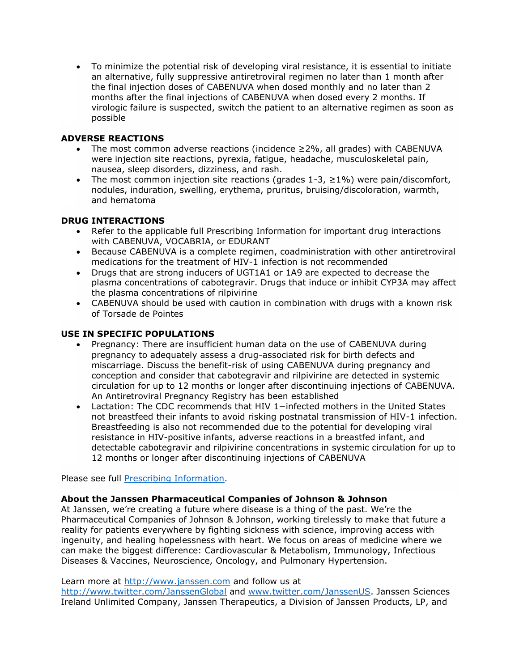• To minimize the potential risk of developing viral resistance, it is essential to initiate an alternative, fully suppressive antiretroviral regimen no later than 1 month after the final injection doses of CABENUVA when dosed monthly and no later than 2 months after the final injections of CABENUVA when dosed every 2 months. If virologic failure is suspected, switch the patient to an alternative regimen as soon as possible

# **ADVERSE REACTIONS**

- The most common adverse reactions (incidence  $\geq$ 2%, all grades) with CABENUVA were injection site reactions, pyrexia, fatigue, headache, musculoskeletal pain, nausea, sleep disorders, dizziness, and rash.
- The most common injection site reactions (grades  $1-3$ ,  $\geq 1\%$ ) were pain/discomfort, nodules, induration, swelling, erythema, pruritus, bruising/discoloration, warmth, and hematoma

## **DRUG INTERACTIONS**

- Refer to the applicable full Prescribing Information for important drug interactions with CABENUVA, VOCABRIA, or EDURANT
- Because CABENUVA is a complete regimen, coadministration with other antiretroviral medications for the treatment of HIV-1 infection is not recommended
- Drugs that are strong inducers of UGT1A1 or 1A9 are expected to decrease the plasma concentrations of cabotegravir. Drugs that induce or inhibit CYP3A may affect the plasma concentrations of rilpivirine
- CABENUVA should be used with caution in combination with drugs with a known risk of Torsade de Pointes

### **USE IN SPECIFIC POPULATIONS**

- Pregnancy: There are insufficient human data on the use of CABENUVA during pregnancy to adequately assess a drug-associated risk for birth defects and miscarriage. Discuss the benefit-risk of using CABENUVA during pregnancy and conception and consider that cabotegravir and rilpivirine are detected in systemic circulation for up to 12 months or longer after discontinuing injections of CABENUVA. An Antiretroviral Pregnancy Registry has been established
- Lactation: The CDC recommends that HIV 1−infected mothers in the United States not breastfeed their infants to avoid risking postnatal transmission of HIV-1 infection. Breastfeeding is also not recommended due to the potential for developing viral resistance in HIV-positive infants, adverse reactions in a breastfed infant, and detectable cabotegravir and rilpivirine concentrations in systemic circulation for up to 12 months or longer after discontinuing injections of CABENUVA

Please see full **Prescribing Information**.

### **About the Janssen Pharmaceutical Companies of Johnson & Johnson**

At Janssen, we're creating a future where disease is a thing of the past. We're the Pharmaceutical Companies of Johnson & Johnson, working tirelessly to make that future a reality for patients everywhere by fighting sickness with science, improving access with ingenuity, and healing hopelessness with heart. We focus on areas of medicine where we can make the biggest difference: Cardiovascular & Metabolism, Immunology, Infectious Diseases & Vaccines, Neuroscience, Oncology, and Pulmonary Hypertension.

Learn more at [http://www.janssen.com](http://www.janssen.com/) and follow us at

<http://www.twitter.com/JanssenGlobal> and [www.twitter.com/JanssenUS.](http://www.twitter.com/JanssenUS) Janssen Sciences Ireland Unlimited Company, Janssen Therapeutics, a Division of Janssen Products, LP, and